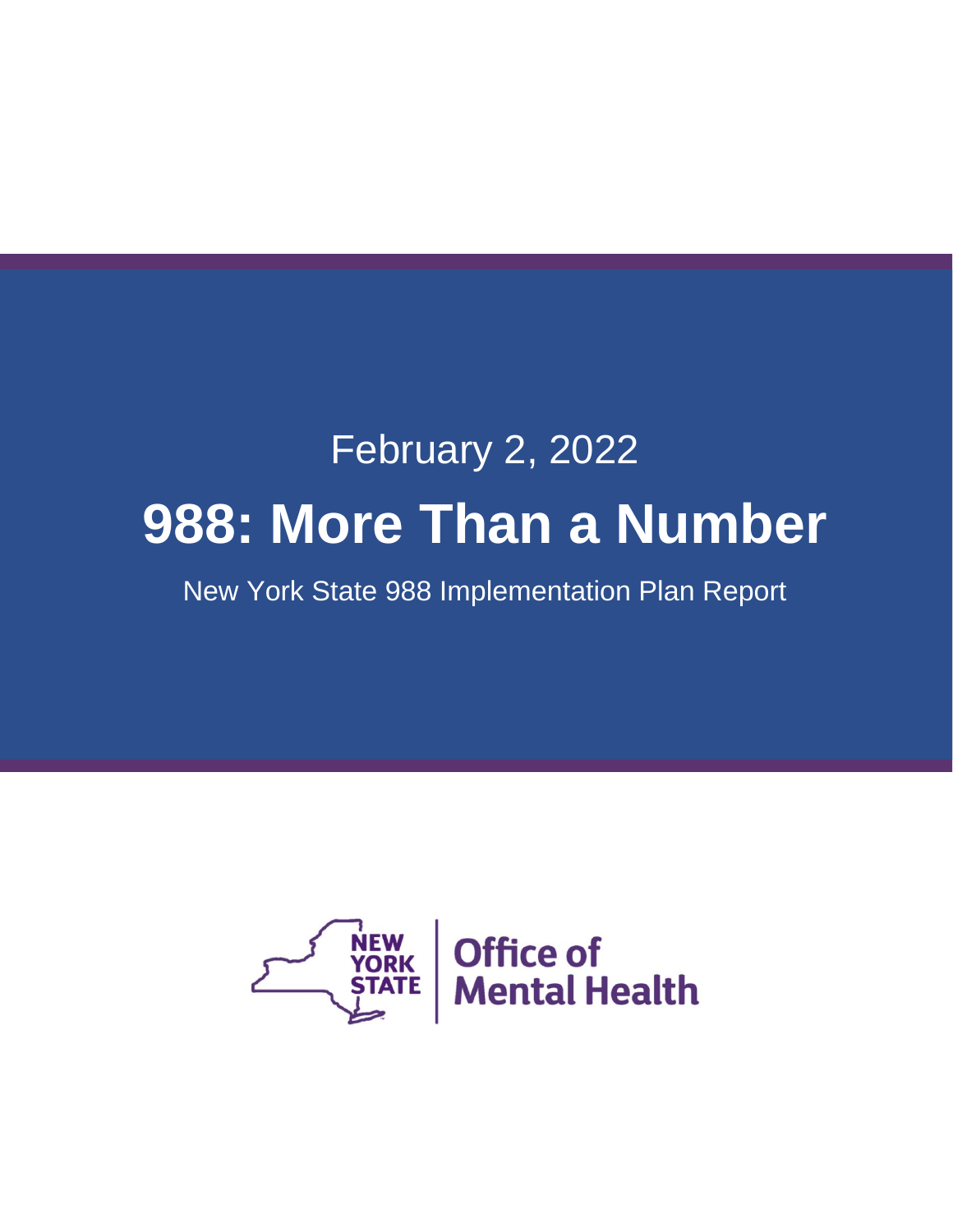# February 2, 2022 **988: More Than a Number**

New York State 988 Implementation Plan Report

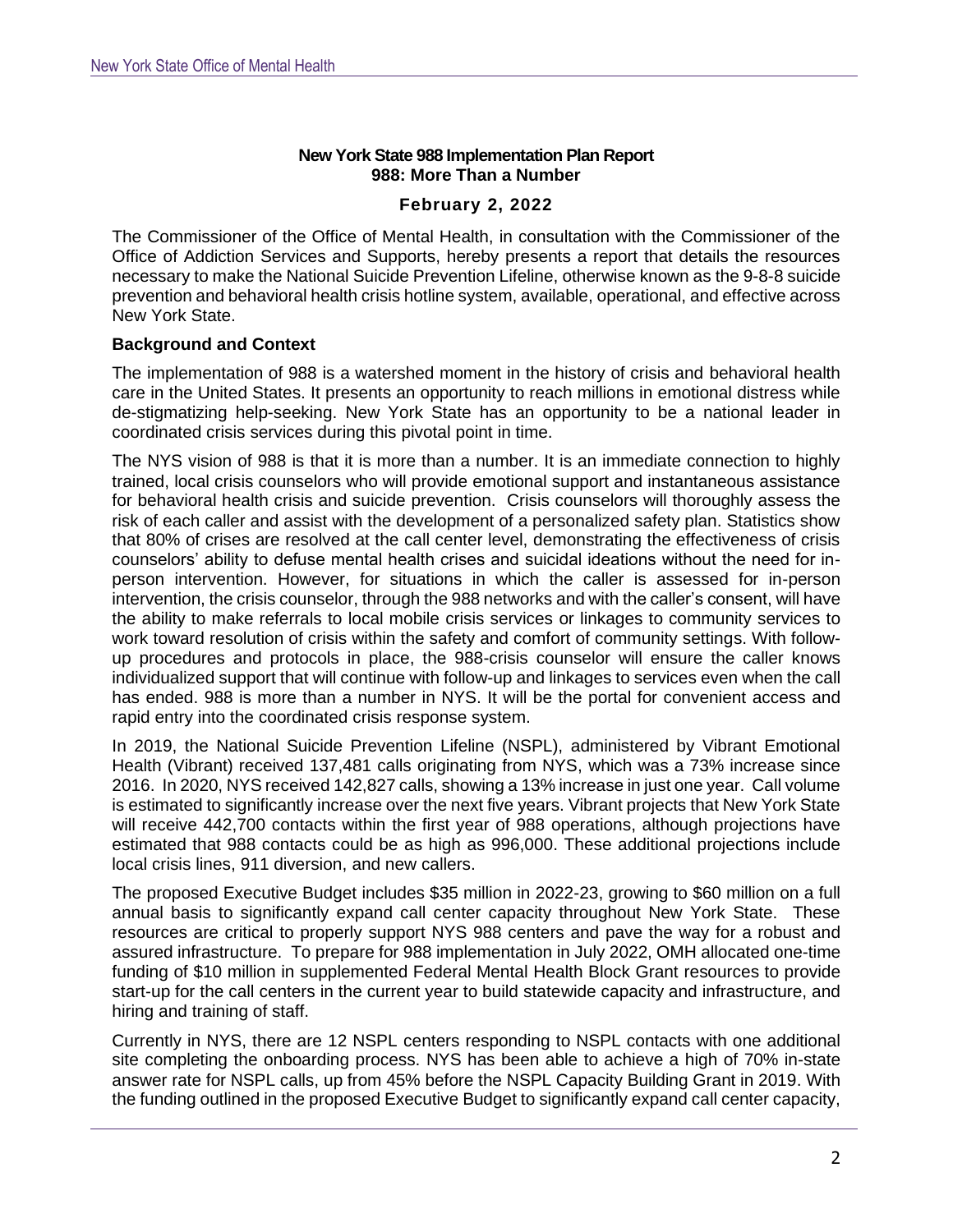## **New York State 988 Implementation Plan Report 988: More Than a Number**

#### **February 2, 2022**

The Commissioner of the Office of Mental Health, in consultation with the Commissioner of the Office of Addiction Services and Supports, hereby presents a report that details the resources necessary to make the National Suicide Prevention Lifeline, otherwise known as the 9-8-8 suicide prevention and behavioral health crisis hotline system, available, operational, and effective across New York State.

## **Background and Context**

The implementation of 988 is a watershed moment in the history of crisis and behavioral health care in the United States. It presents an opportunity to reach millions in emotional distress while de-stigmatizing help-seeking. New York State has an opportunity to be a national leader in coordinated crisis services during this pivotal point in time.

The NYS vision of 988 is that it is more than a number. It is an immediate connection to highly trained, local crisis counselors who will provide emotional support and instantaneous assistance for behavioral health crisis and suicide prevention. Crisis counselors will thoroughly assess the risk of each caller and assist with the development of a personalized safety plan. Statistics show that 80% of crises are resolved at the call center level, demonstrating the effectiveness of crisis counselors' ability to defuse mental health crises and suicidal ideations without the need for inperson intervention. However, for situations in which the caller is assessed for in-person intervention, the crisis counselor, through the 988 networks and with the caller's consent, will have the ability to make referrals to local mobile crisis services or linkages to community services to work toward resolution of crisis within the safety and comfort of community settings. With followup procedures and protocols in place, the 988-crisis counselor will ensure the caller knows individualized support that will continue with follow-up and linkages to services even when the call has ended. 988 is more than a number in NYS. It will be the portal for convenient access and rapid entry into the coordinated crisis response system.

In 2019, the National Suicide Prevention Lifeline (NSPL), administered by Vibrant Emotional Health (Vibrant) received 137,481 calls originating from NYS, which was a 73% increase since 2016. In 2020, NYS received 142,827 calls, showing a 13% increase in just one year. Call volume is estimated to significantly increase over the next five years. Vibrant projects that New York State will receive 442,700 contacts within the first year of 988 operations, although projections have estimated that 988 contacts could be as high as 996,000. These additional projections include local crisis lines, 911 diversion, and new callers.

The proposed Executive Budget includes \$35 million in 2022-23, growing to \$60 million on a full annual basis to significantly expand call center capacity throughout New York State. These resources are critical to properly support NYS 988 centers and pave the way for a robust and assured infrastructure. To prepare for 988 implementation in July 2022, OMH allocated one-time funding of \$10 million in supplemented Federal Mental Health Block Grant resources to provide start-up for the call centers in the current year to build statewide capacity and infrastructure, and hiring and training of staff.

Currently in NYS, there are 12 NSPL centers responding to NSPL contacts with one additional site completing the onboarding process. NYS has been able to achieve a high of 70% in-state answer rate for NSPL calls, up from 45% before the NSPL Capacity Building Grant in 2019. With the funding outlined in the proposed Executive Budget to significantly expand call center capacity,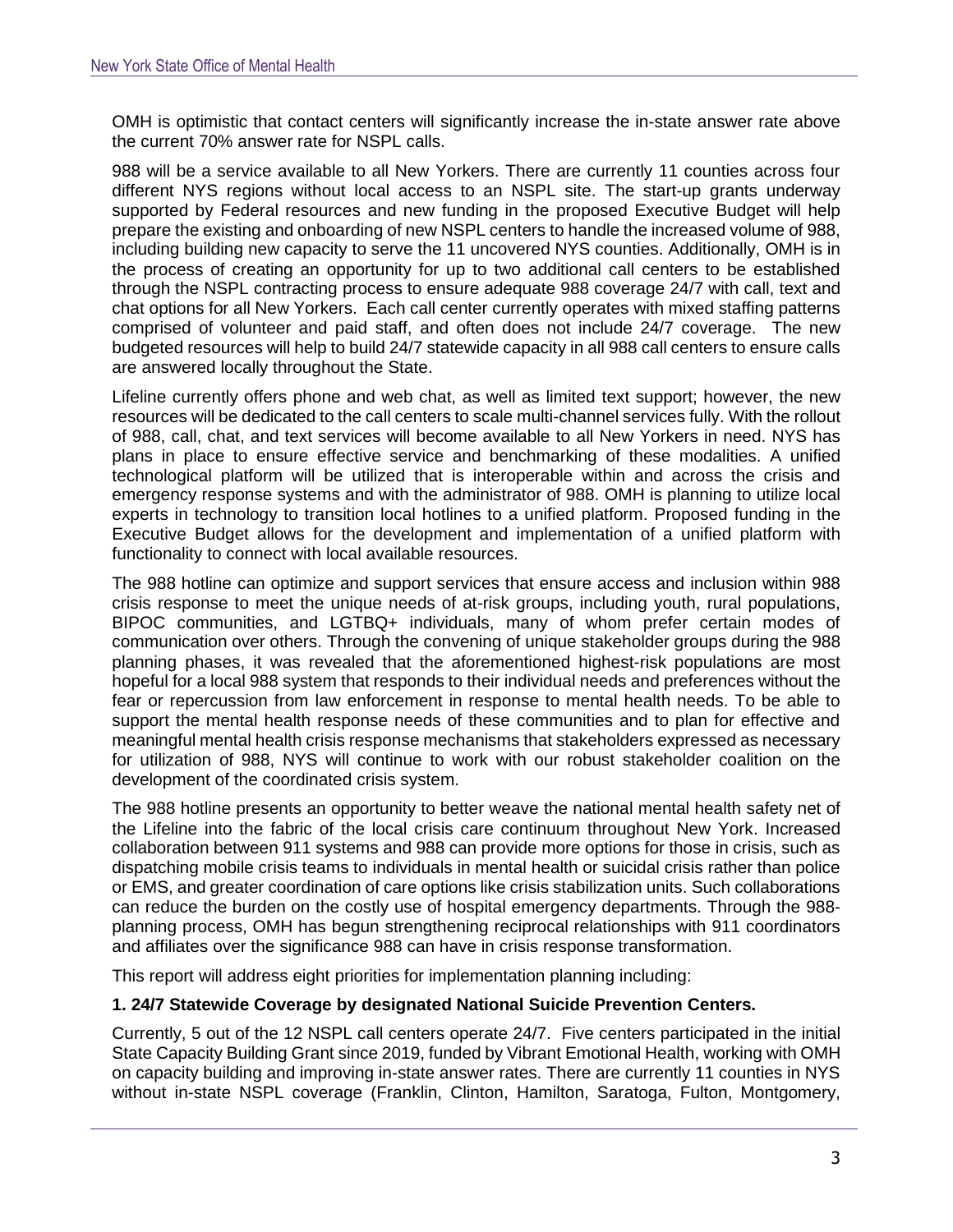OMH is optimistic that contact centers will significantly increase the in-state answer rate above the current 70% answer rate for NSPL calls.

988 will be a service available to all New Yorkers. There are currently 11 counties across four different NYS regions without local access to an NSPL site. The start-up grants underway supported by Federal resources and new funding in the proposed Executive Budget will help prepare the existing and onboarding of new NSPL centers to handle the increased volume of 988, including building new capacity to serve the 11 uncovered NYS counties. Additionally, OMH is in the process of creating an opportunity for up to two additional call centers to be established through the NSPL contracting process to ensure adequate 988 coverage 24/7 with call, text and chat options for all New Yorkers. Each call center currently operates with mixed staffing patterns comprised of volunteer and paid staff, and often does not include 24/7 coverage. The new budgeted resources will help to build 24/7 statewide capacity in all 988 call centers to ensure calls are answered locally throughout the State.

Lifeline currently offers phone and web chat, as well as limited text support; however, the new resources will be dedicated to the call centers to scale multi-channel services fully. With the rollout of 988, call, chat, and text services will become available to all New Yorkers in need. NYS has plans in place to ensure effective service and benchmarking of these modalities. A unified technological platform will be utilized that is interoperable within and across the crisis and emergency response systems and with the administrator of 988. OMH is planning to utilize local experts in technology to transition local hotlines to a unified platform. Proposed funding in the Executive Budget allows for the development and implementation of a unified platform with functionality to connect with local available resources.

The 988 hotline can optimize and support services that ensure access and inclusion within 988 crisis response to meet the unique needs of at-risk groups, including youth, rural populations, BIPOC communities, and LGTBQ+ individuals, many of whom prefer certain modes of communication over others. Through the convening of unique stakeholder groups during the 988 planning phases, it was revealed that the aforementioned highest-risk populations are most hopeful for a local 988 system that responds to their individual needs and preferences without the fear or repercussion from law enforcement in response to mental health needs. To be able to support the mental health response needs of these communities and to plan for effective and meaningful mental health crisis response mechanisms that stakeholders expressed as necessary for utilization of 988, NYS will continue to work with our robust stakeholder coalition on the development of the coordinated crisis system.

The 988 hotline presents an opportunity to better weave the national mental health safety net of the Lifeline into the fabric of the local crisis care continuum throughout New York. Increased collaboration between 911 systems and 988 can provide more options for those in crisis, such as dispatching mobile crisis teams to individuals in mental health or suicidal crisis rather than police or EMS, and greater coordination of care options like crisis stabilization units. Such collaborations can reduce the burden on the costly use of hospital emergency departments. Through the 988 planning process, OMH has begun strengthening reciprocal relationships with 911 coordinators and affiliates over the significance 988 can have in crisis response transformation.

This report will address eight priorities for implementation planning including:

# **1. 24/7 Statewide Coverage by designated National Suicide Prevention Centers.**

Currently, 5 out of the 12 NSPL call centers operate 24/7. Five centers participated in the initial State Capacity Building Grant since 2019, funded by Vibrant Emotional Health, working with OMH on capacity building and improving in-state answer rates. There are currently 11 counties in NYS without in-state NSPL coverage (Franklin, Clinton, Hamilton, Saratoga, Fulton, Montgomery,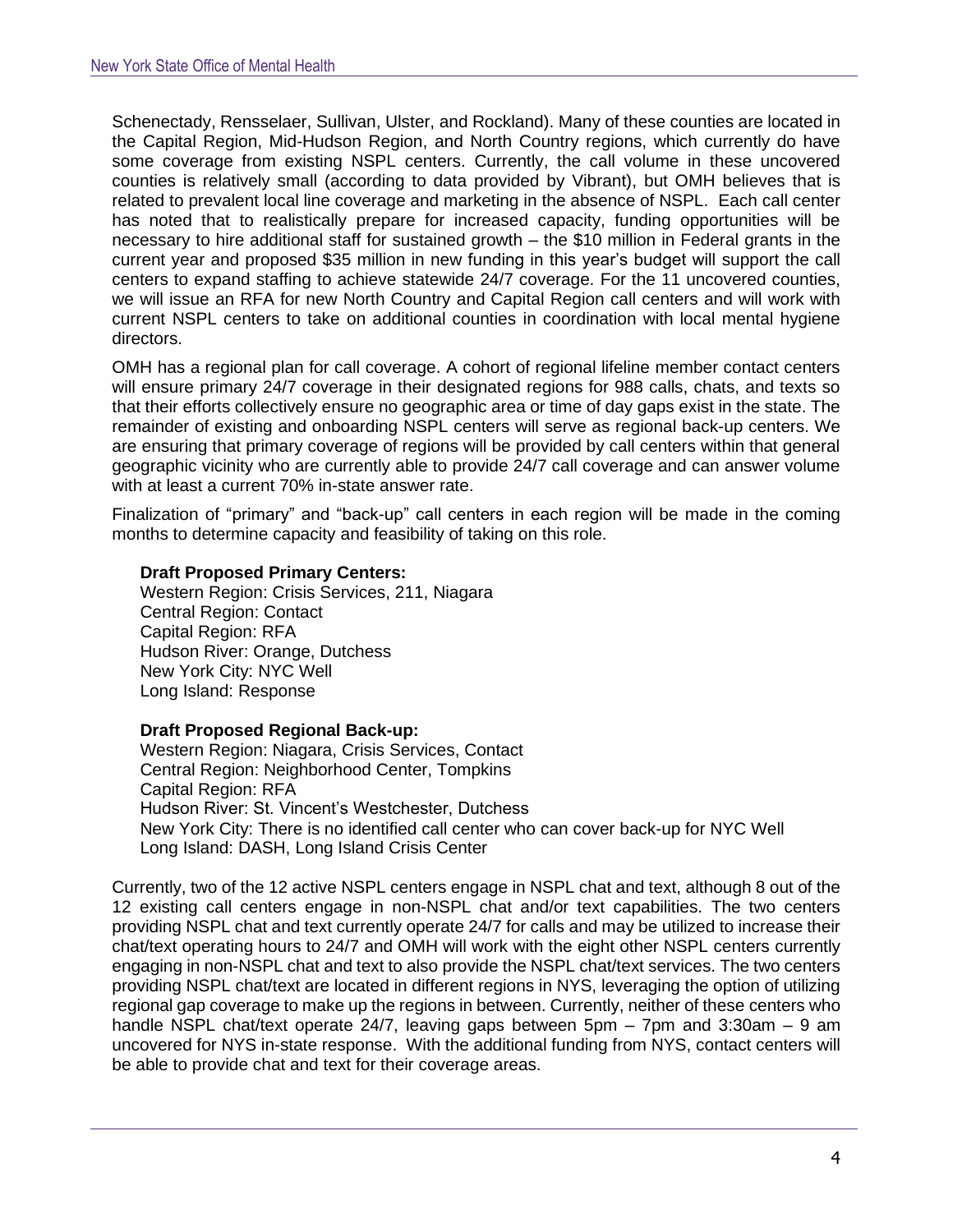Schenectady, Rensselaer, Sullivan, Ulster, and Rockland). Many of these counties are located in the Capital Region, Mid-Hudson Region, and North Country regions, which currently do have some coverage from existing NSPL centers. Currently, the call volume in these uncovered counties is relatively small (according to data provided by Vibrant), but OMH believes that is related to prevalent local line coverage and marketing in the absence of NSPL. Each call center has noted that to realistically prepare for increased capacity, funding opportunities will be necessary to hire additional staff for sustained growth – the \$10 million in Federal grants in the current year and proposed \$35 million in new funding in this year's budget will support the call centers to expand staffing to achieve statewide 24/7 coverage. For the 11 uncovered counties, we will issue an RFA for new North Country and Capital Region call centers and will work with current NSPL centers to take on additional counties in coordination with local mental hygiene directors.

OMH has a regional plan for call coverage. A cohort of regional lifeline member contact centers will ensure primary 24/7 coverage in their designated regions for 988 calls, chats, and texts so that their efforts collectively ensure no geographic area or time of day gaps exist in the state. The remainder of existing and onboarding NSPL centers will serve as regional back-up centers. We are ensuring that primary coverage of regions will be provided by call centers within that general geographic vicinity who are currently able to provide 24/7 call coverage and can answer volume with at least a current 70% in-state answer rate.

Finalization of "primary" and "back-up" call centers in each region will be made in the coming months to determine capacity and feasibility of taking on this role.

#### **Draft Proposed Primary Centers:**

Western Region: Crisis Services, 211, Niagara Central Region: Contact Capital Region: RFA Hudson River: Orange, Dutchess New York City: NYC Well Long Island: Response

#### **Draft Proposed Regional Back-up:**

Western Region: Niagara, Crisis Services, Contact Central Region: Neighborhood Center, Tompkins Capital Region: RFA Hudson River: St. Vincent's Westchester, Dutchess New York City: There is no identified call center who can cover back-up for NYC Well Long Island: DASH, Long Island Crisis Center

Currently, two of the 12 active NSPL centers engage in NSPL chat and text, although 8 out of the 12 existing call centers engage in non-NSPL chat and/or text capabilities. The two centers providing NSPL chat and text currently operate 24/7 for calls and may be utilized to increase their chat/text operating hours to 24/7 and OMH will work with the eight other NSPL centers currently engaging in non-NSPL chat and text to also provide the NSPL chat/text services. The two centers providing NSPL chat/text are located in different regions in NYS, leveraging the option of utilizing regional gap coverage to make up the regions in between. Currently, neither of these centers who handle NSPL chat/text operate 24/7, leaving gaps between 5pm – 7pm and 3:30am – 9 am uncovered for NYS in-state response. With the additional funding from NYS, contact centers will be able to provide chat and text for their coverage areas.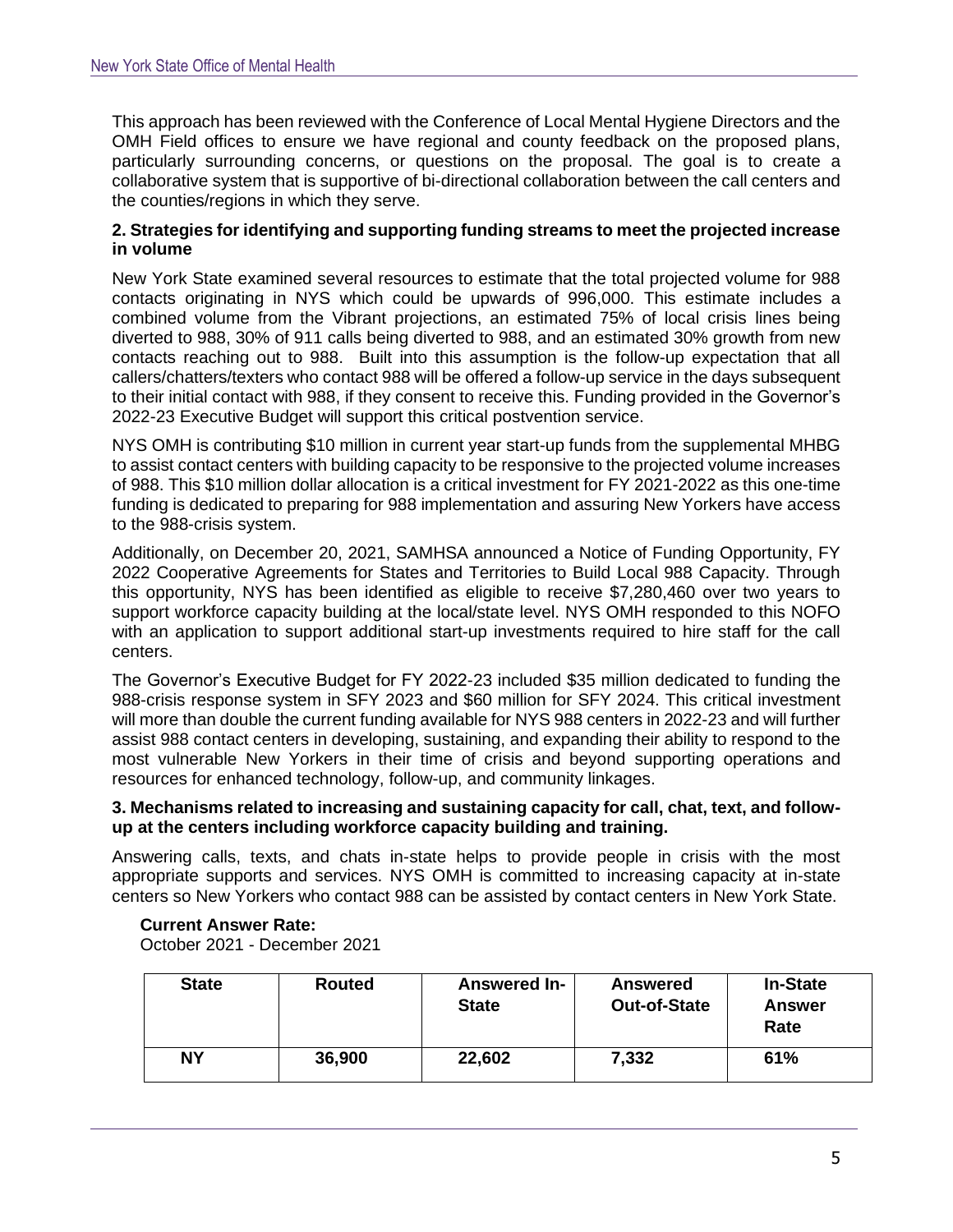This approach has been reviewed with the Conference of Local Mental Hygiene Directors and the OMH Field offices to ensure we have regional and county feedback on the proposed plans, particularly surrounding concerns, or questions on the proposal. The goal is to create a collaborative system that is supportive of bi-directional collaboration between the call centers and the counties/regions in which they serve.

## **2. Strategies for identifying and supporting funding streams to meet the projected increase in volume**

New York State examined several resources to estimate that the total projected volume for 988 contacts originating in NYS which could be upwards of 996,000. This estimate includes a combined volume from the Vibrant projections, an estimated 75% of local crisis lines being diverted to 988, 30% of 911 calls being diverted to 988, and an estimated 30% growth from new contacts reaching out to 988. Built into this assumption is the follow-up expectation that all callers/chatters/texters who contact 988 will be offered a follow-up service in the days subsequent to their initial contact with 988, if they consent to receive this. Funding provided in the Governor's 2022-23 Executive Budget will support this critical postvention service.

NYS OMH is contributing \$10 million in current year start-up funds from the supplemental MHBG to assist contact centers with building capacity to be responsive to the projected volume increases of 988. This \$10 million dollar allocation is a critical investment for FY 2021-2022 as this one-time funding is dedicated to preparing for 988 implementation and assuring New Yorkers have access to the 988-crisis system.

Additionally, on December 20, 2021, SAMHSA announced a Notice of Funding Opportunity, FY 2022 Cooperative Agreements for States and Territories to Build Local 988 Capacity. Through this opportunity, NYS has been identified as eligible to receive \$7,280,460 over two years to support workforce capacity building at the local/state level. NYS OMH responded to this NOFO with an application to support additional start-up investments required to hire staff for the call centers.

The Governor's Executive Budget for FY 2022-23 included \$35 million dedicated to funding the 988-crisis response system in SFY 2023 and \$60 million for SFY 2024. This critical investment will more than double the current funding available for NYS 988 centers in 2022-23 and will further assist 988 contact centers in developing, sustaining, and expanding their ability to respond to the most vulnerable New Yorkers in their time of crisis and beyond supporting operations and resources for enhanced technology, follow-up, and community linkages.

## **3. Mechanisms related to increasing and sustaining capacity for call, chat, text, and followup at the centers including workforce capacity building and training.**

Answering calls, texts, and chats in-state helps to provide people in crisis with the most appropriate supports and services. NYS OMH is committed to increasing capacity at in-state centers so New Yorkers who contact 988 can be assisted by contact centers in New York State.

#### **Current Answer Rate:**

October 2021 - December 2021

| <b>State</b> | Routed | Answered In-<br><b>State</b> | <b>Answered</b><br><b>Out-of-State</b> | <b>In-State</b><br><b>Answer</b><br>Rate |
|--------------|--------|------------------------------|----------------------------------------|------------------------------------------|
| NΥ           | 36,900 | 22,602                       | 7,332                                  | 61%                                      |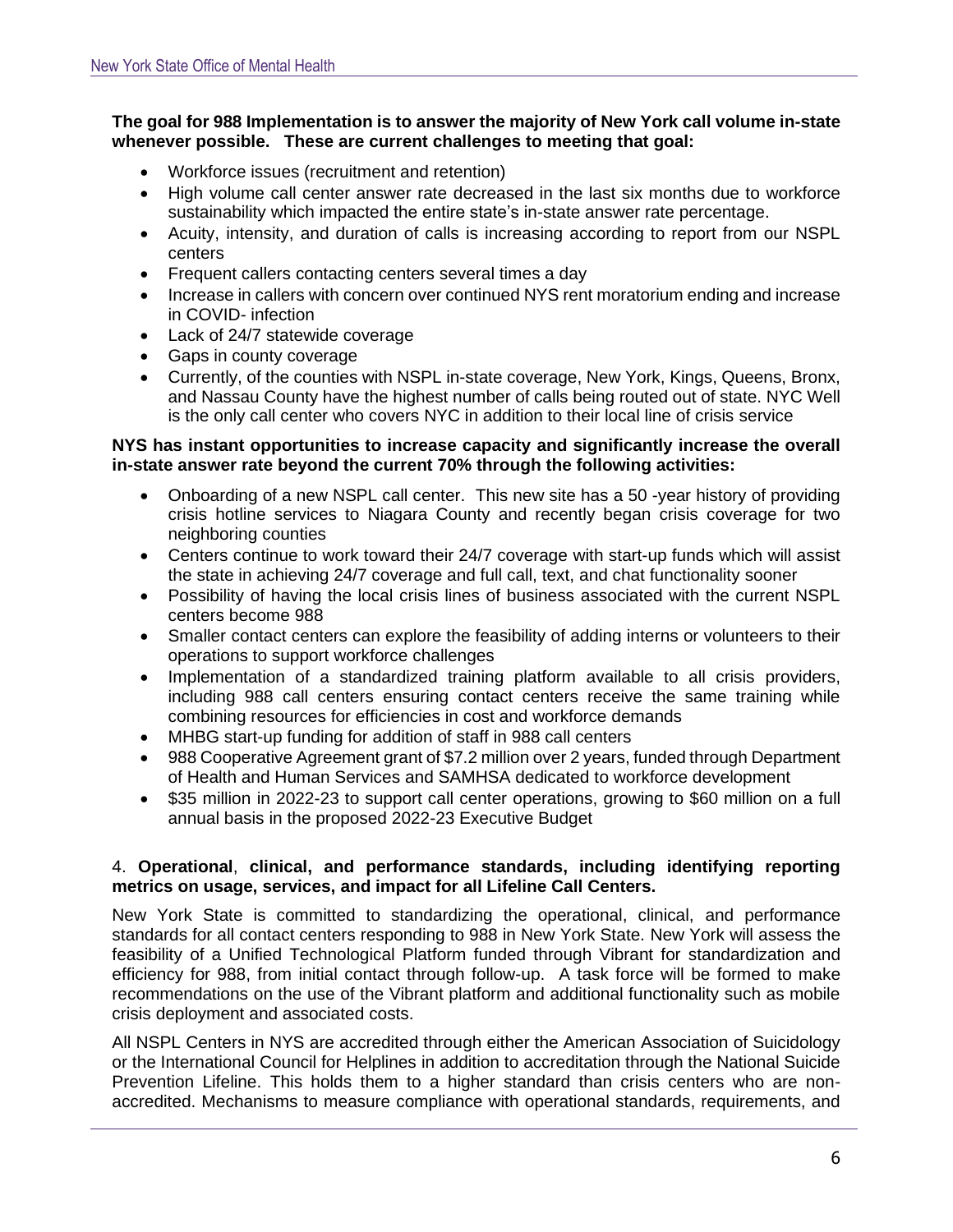# **The goal for 988 Implementation is to answer the majority of New York call volume in-state whenever possible. These are current challenges to meeting that goal:**

- Workforce issues (recruitment and retention)
- High volume call center answer rate decreased in the last six months due to workforce sustainability which impacted the entire state's in-state answer rate percentage.
- Acuity, intensity, and duration of calls is increasing according to report from our NSPL centers
- Frequent callers contacting centers several times a day
- Increase in callers with concern over continued NYS rent moratorium ending and increase in COVID- infection
- Lack of 24/7 statewide coverage
- Gaps in county coverage
- Currently, of the counties with NSPL in-state coverage, New York, Kings, Queens, Bronx, and Nassau County have the highest number of calls being routed out of state. NYC Well is the only call center who covers NYC in addition to their local line of crisis service

## **NYS has instant opportunities to increase capacity and significantly increase the overall in-state answer rate beyond the current 70% through the following activities:**

- Onboarding of a new NSPL call center. This new site has a 50 -year history of providing crisis hotline services to Niagara County and recently began crisis coverage for two neighboring counties
- Centers continue to work toward their 24/7 coverage with start-up funds which will assist the state in achieving 24/7 coverage and full call, text, and chat functionality sooner
- Possibility of having the local crisis lines of business associated with the current NSPL centers become 988
- Smaller contact centers can explore the feasibility of adding interns or volunteers to their operations to support workforce challenges
- Implementation of a standardized training platform available to all crisis providers, including 988 call centers ensuring contact centers receive the same training while combining resources for efficiencies in cost and workforce demands
- MHBG start-up funding for addition of staff in 988 call centers
- 988 Cooperative Agreement grant of \$7.2 million over 2 years, funded through Department of Health and Human Services and SAMHSA dedicated to workforce development
- \$35 million in 2022-23 to support call center operations, growing to \$60 million on a full annual basis in the proposed 2022-23 Executive Budget

# 4. **Operational**, **clinical, and performance standards, including identifying reporting metrics on usage, services, and impact for all Lifeline Call Centers.**

New York State is committed to standardizing the operational, clinical, and performance standards for all contact centers responding to 988 in New York State. New York will assess the feasibility of a Unified Technological Platform funded through Vibrant for standardization and efficiency for 988, from initial contact through follow-up. A task force will be formed to make recommendations on the use of the Vibrant platform and additional functionality such as mobile crisis deployment and associated costs.

All NSPL Centers in NYS are accredited through either the American Association of Suicidology or the International Council for Helplines in addition to accreditation through the National Suicide Prevention Lifeline. This holds them to a higher standard than crisis centers who are nonaccredited. Mechanisms to measure compliance with operational standards, requirements, and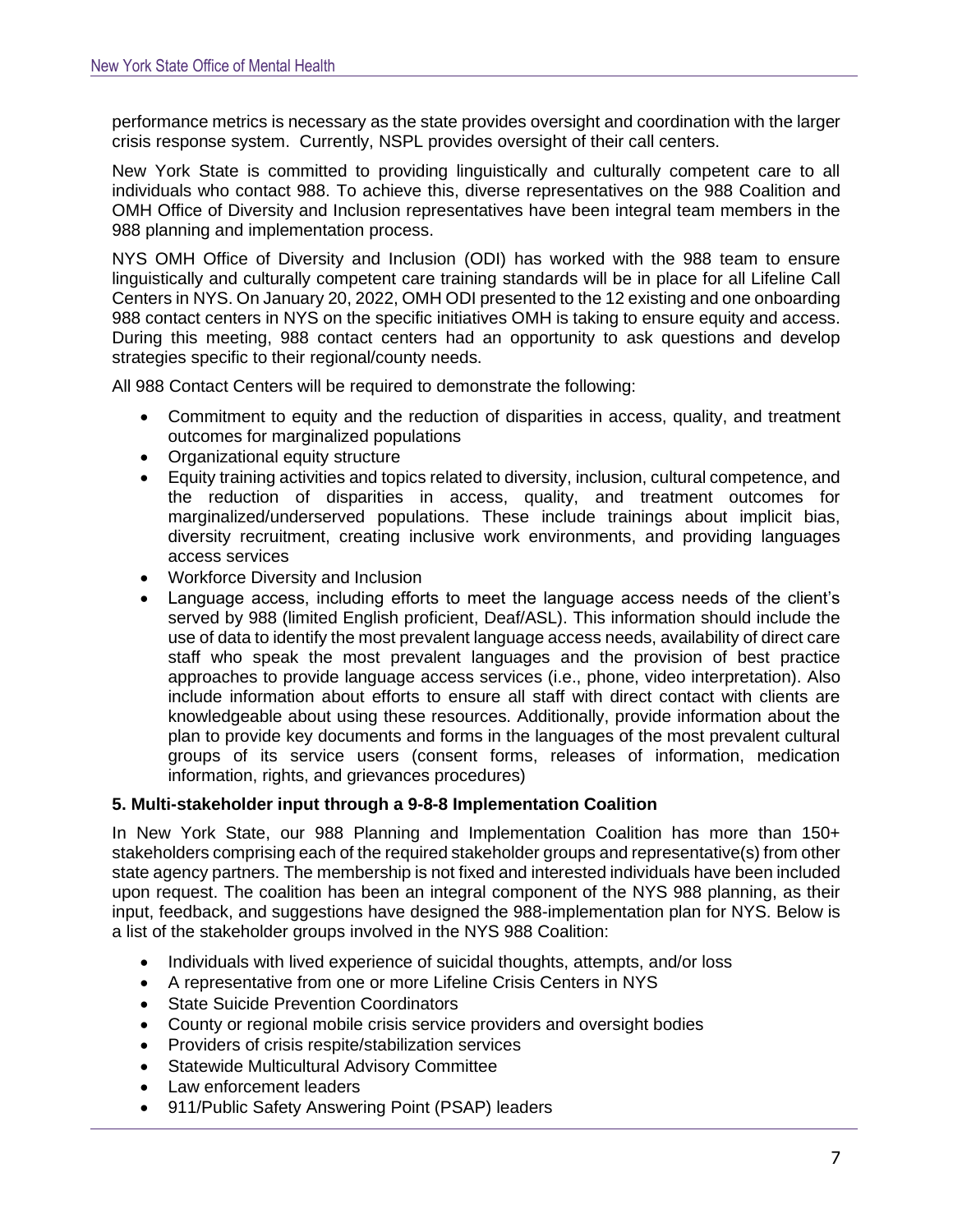performance metrics is necessary as the state provides oversight and coordination with the larger crisis response system. Currently, NSPL provides oversight of their call centers.

New York State is committed to providing linguistically and culturally competent care to all individuals who contact 988. To achieve this, diverse representatives on the 988 Coalition and OMH Office of Diversity and Inclusion representatives have been integral team members in the 988 planning and implementation process.

NYS OMH Office of Diversity and Inclusion (ODI) has worked with the 988 team to ensure linguistically and culturally competent care training standards will be in place for all Lifeline Call Centers in NYS. On January 20, 2022, OMH ODI presented to the 12 existing and one onboarding 988 contact centers in NYS on the specific initiatives OMH is taking to ensure equity and access. During this meeting, 988 contact centers had an opportunity to ask questions and develop strategies specific to their regional/county needs.

All 988 Contact Centers will be required to demonstrate the following:

- Commitment to equity and the reduction of disparities in access, quality, and treatment outcomes for marginalized populations
- Organizational equity structure
- Equity training activities and topics related to diversity, inclusion, cultural competence, and the reduction of disparities in access, quality, and treatment outcomes for marginalized/underserved populations. These include trainings about implicit bias, diversity recruitment, creating inclusive work environments, and providing languages access services
- Workforce Diversity and Inclusion
- Language access, including efforts to meet the language access needs of the client's served by 988 (limited English proficient, Deaf/ASL). This information should include the use of data to identify the most prevalent language access needs, availability of direct care staff who speak the most prevalent languages and the provision of best practice approaches to provide language access services (i.e., phone, video interpretation). Also include information about efforts to ensure all staff with direct contact with clients are knowledgeable about using these resources. Additionally, provide information about the plan to provide key documents and forms in the languages of the most prevalent cultural groups of its service users (consent forms, releases of information, medication information, rights, and grievances procedures)

# **5. Multi-stakeholder input through a 9-8-8 Implementation Coalition**

In New York State, our 988 Planning and Implementation Coalition has more than 150+ stakeholders comprising each of the required stakeholder groups and representative(s) from other state agency partners. The membership is not fixed and interested individuals have been included upon request. The coalition has been an integral component of the NYS 988 planning, as their input, feedback, and suggestions have designed the 988-implementation plan for NYS. Below is a list of the stakeholder groups involved in the NYS 988 Coalition:

- Individuals with lived experience of suicidal thoughts, attempts, and/or loss
- A representative from one or more Lifeline Crisis Centers in NYS
- State Suicide Prevention Coordinators
- County or regional mobile crisis service providers and oversight bodies
- Providers of crisis respite/stabilization services
- Statewide Multicultural Advisory Committee
- Law enforcement leaders
- 911/Public Safety Answering Point (PSAP) leaders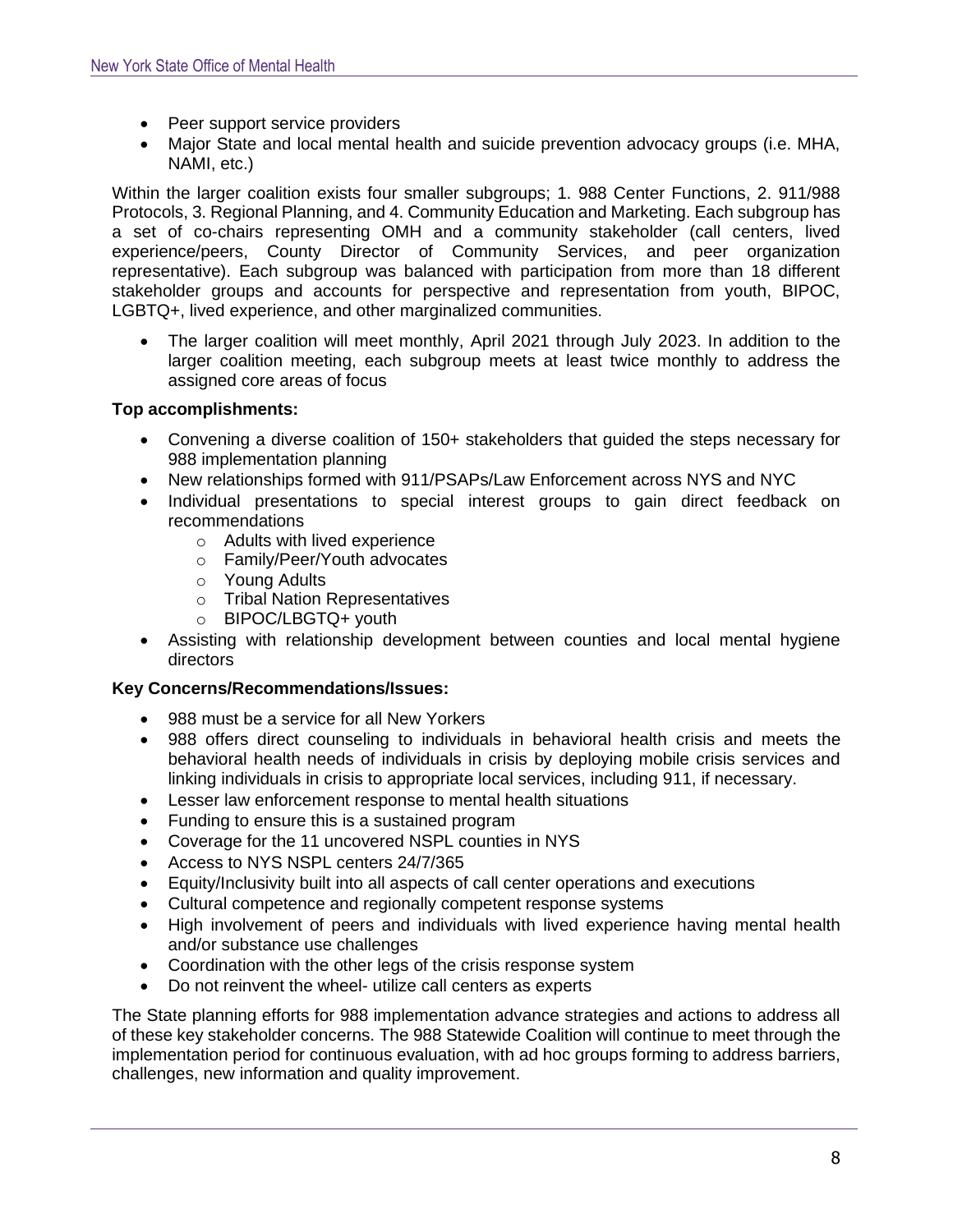- Peer support service providers
- Major State and local mental health and suicide prevention advocacy groups (i.e. MHA, NAMI, etc.)

Within the larger coalition exists four smaller subgroups; 1. 988 Center Functions, 2. 911/988 Protocols, 3. Regional Planning, and 4. Community Education and Marketing. Each subgroup has a set of co-chairs representing OMH and a community stakeholder (call centers, lived experience/peers, County Director of Community Services, and peer organization representative). Each subgroup was balanced with participation from more than 18 different stakeholder groups and accounts for perspective and representation from youth, BIPOC, LGBTQ+, lived experience, and other marginalized communities.

• The larger coalition will meet monthly, April 2021 through July 2023. In addition to the larger coalition meeting, each subgroup meets at least twice monthly to address the assigned core areas of focus

## **Top accomplishments:**

- Convening a diverse coalition of 150+ stakeholders that guided the steps necessary for 988 implementation planning
- New relationships formed with 911/PSAPs/Law Enforcement across NYS and NYC
- Individual presentations to special interest groups to gain direct feedback on recommendations
	- o Adults with lived experience
	- o Family/Peer/Youth advocates
	- o Young Adults
	- o Tribal Nation Representatives
	- o BIPOC/LBGTQ+ youth
- Assisting with relationship development between counties and local mental hygiene directors

# **Key Concerns/Recommendations/Issues:**

- 988 must be a service for all New Yorkers
- 988 offers direct counseling to individuals in behavioral health crisis and meets the behavioral health needs of individuals in crisis by deploying mobile crisis services and linking individuals in crisis to appropriate local services, including 911, if necessary.
- Lesser law enforcement response to mental health situations
- Funding to ensure this is a sustained program
- Coverage for the 11 uncovered NSPL counties in NYS
- Access to NYS NSPL centers 24/7/365
- Equity/Inclusivity built into all aspects of call center operations and executions
- Cultural competence and regionally competent response systems
- High involvement of peers and individuals with lived experience having mental health and/or substance use challenges
- Coordination with the other legs of the crisis response system
- Do not reinvent the wheel- utilize call centers as experts

The State planning efforts for 988 implementation advance strategies and actions to address all of these key stakeholder concerns. The 988 Statewide Coalition will continue to meet through the implementation period for continuous evaluation, with ad hoc groups forming to address barriers, challenges, new information and quality improvement.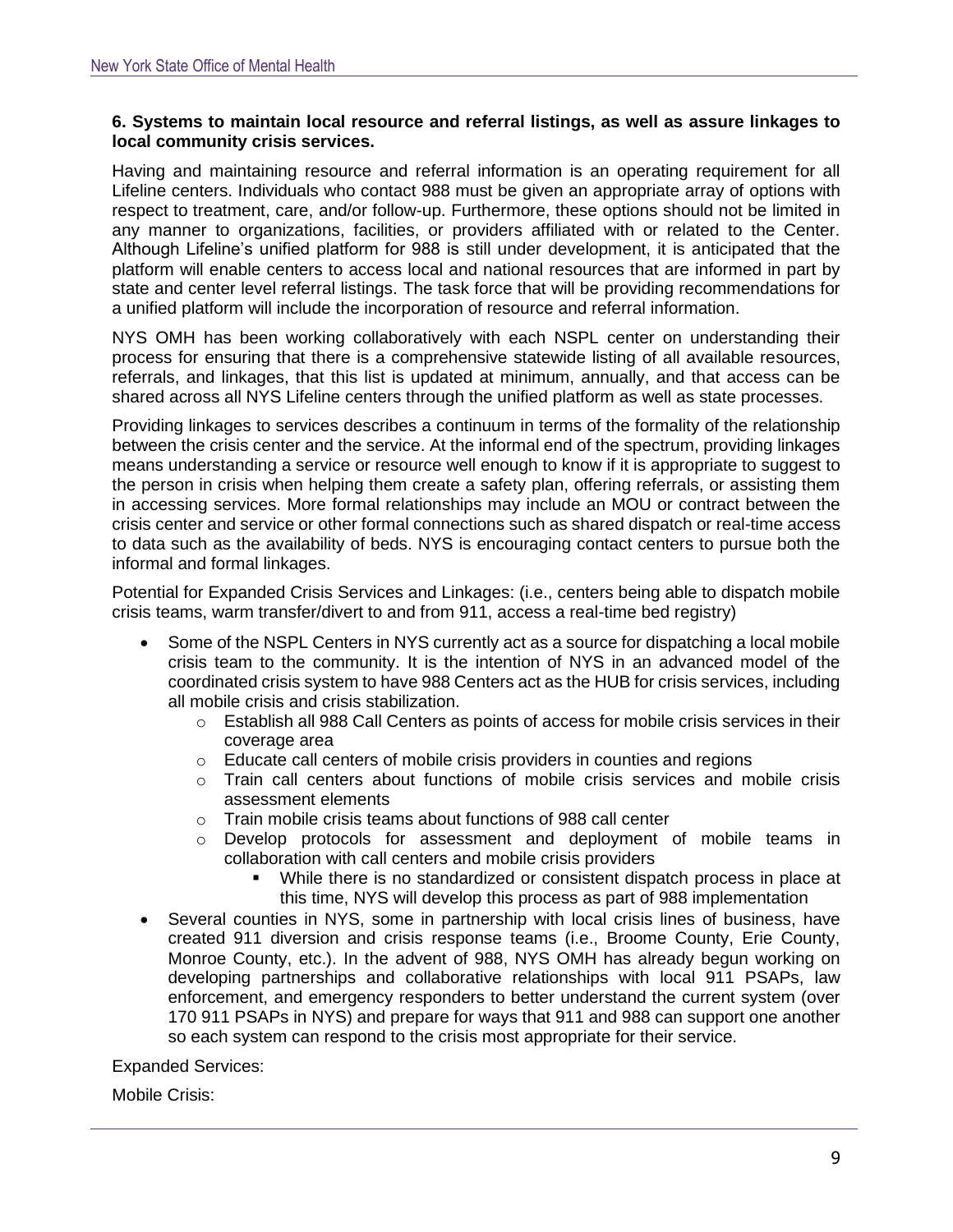#### **6. Systems to maintain local resource and referral listings, as well as assure linkages to local community crisis services.**

Having and maintaining resource and referral information is an operating requirement for all Lifeline centers. Individuals who contact 988 must be given an appropriate array of options with respect to treatment, care, and/or follow-up. Furthermore, these options should not be limited in any manner to organizations, facilities, or providers affiliated with or related to the Center. Although Lifeline's unified platform for 988 is still under development, it is anticipated that the platform will enable centers to access local and national resources that are informed in part by state and center level referral listings. The task force that will be providing recommendations for a unified platform will include the incorporation of resource and referral information.

NYS OMH has been working collaboratively with each NSPL center on understanding their process for ensuring that there is a comprehensive statewide listing of all available resources, referrals, and linkages, that this list is updated at minimum, annually, and that access can be shared across all NYS Lifeline centers through the unified platform as well as state processes.

Providing linkages to services describes a continuum in terms of the formality of the relationship between the crisis center and the service. At the informal end of the spectrum, providing linkages means understanding a service or resource well enough to know if it is appropriate to suggest to the person in crisis when helping them create a safety plan, offering referrals, or assisting them in accessing services. More formal relationships may include an MOU or contract between the crisis center and service or other formal connections such as shared dispatch or real-time access to data such as the availability of beds. NYS is encouraging contact centers to pursue both the informal and formal linkages.

Potential for Expanded Crisis Services and Linkages: (i.e., centers being able to dispatch mobile crisis teams, warm transfer/divert to and from 911, access a real-time bed registry)

- Some of the NSPL Centers in NYS currently act as a source for dispatching a local mobile crisis team to the community. It is the intention of NYS in an advanced model of the coordinated crisis system to have 988 Centers act as the HUB for crisis services, including all mobile crisis and crisis stabilization.
	- $\circ$  Establish all 988 Call Centers as points of access for mobile crisis services in their coverage area
	- o Educate call centers of mobile crisis providers in counties and regions
	- $\circ$  Train call centers about functions of mobile crisis services and mobile crisis assessment elements
	- o Train mobile crisis teams about functions of 988 call center
	- o Develop protocols for assessment and deployment of mobile teams in collaboration with call centers and mobile crisis providers
		- While there is no standardized or consistent dispatch process in place at this time, NYS will develop this process as part of 988 implementation
- Several counties in NYS, some in partnership with local crisis lines of business, have created 911 diversion and crisis response teams (i.e., Broome County, Erie County, Monroe County, etc.). In the advent of 988, NYS OMH has already begun working on developing partnerships and collaborative relationships with local 911 PSAPs, law enforcement, and emergency responders to better understand the current system (over 170 911 PSAPs in NYS) and prepare for ways that 911 and 988 can support one another so each system can respond to the crisis most appropriate for their service.

Expanded Services:

Mobile Crisis: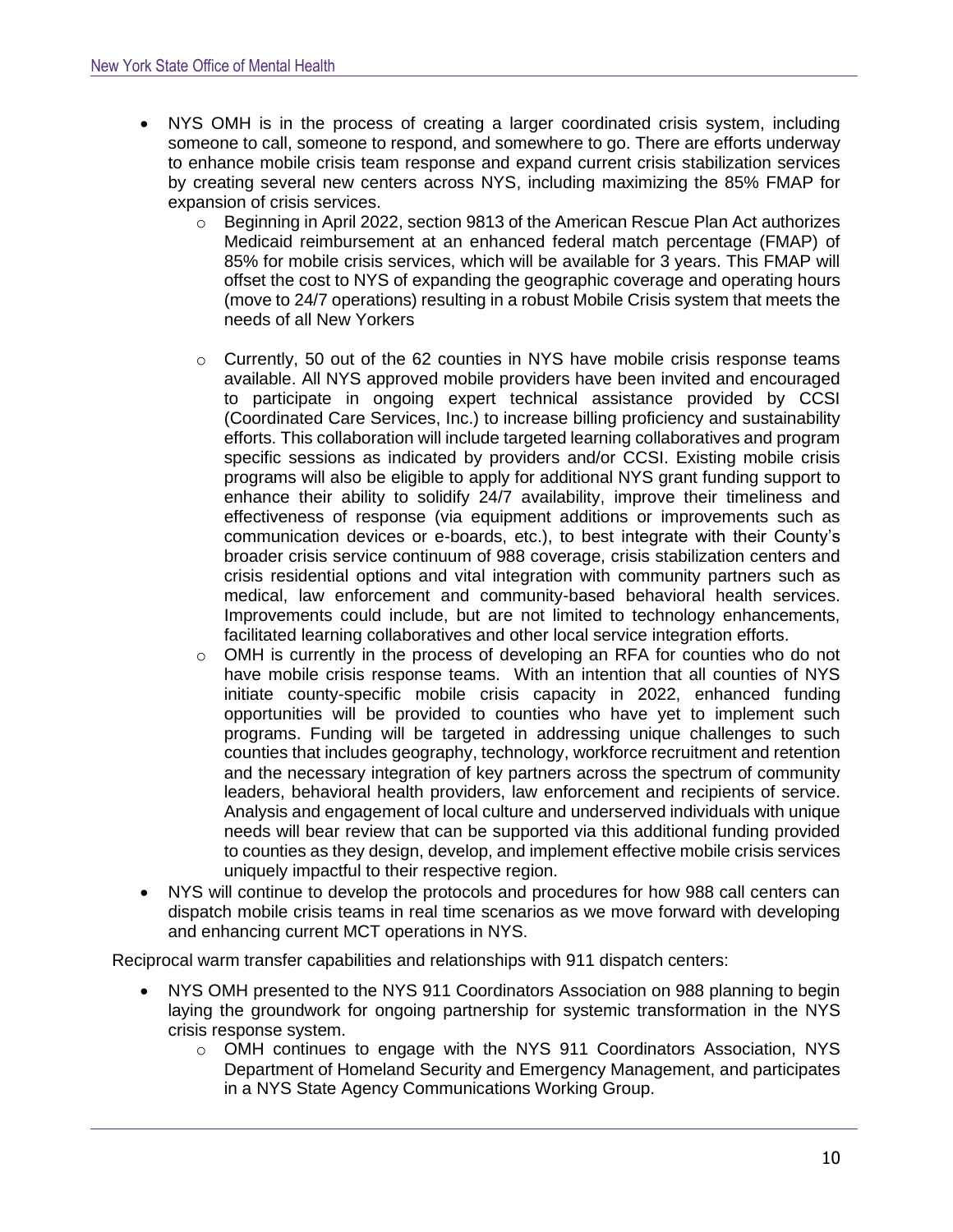- NYS OMH is in the process of creating a larger coordinated crisis system, including someone to call, someone to respond, and somewhere to go. There are efforts underway to enhance mobile crisis team response and expand current crisis stabilization services by creating several new centers across NYS, including maximizing the 85% FMAP for expansion of crisis services.
	- o Beginning in April 2022, section 9813 of the American Rescue Plan Act authorizes Medicaid reimbursement at an enhanced federal match percentage (FMAP) of 85% for mobile crisis services, which will be available for 3 years. This FMAP will offset the cost to NYS of expanding the geographic coverage and operating hours (move to 24/7 operations) resulting in a robust Mobile Crisis system that meets the needs of all New Yorkers
	- o Currently, 50 out of the 62 counties in NYS have mobile crisis response teams available. All NYS approved mobile providers have been invited and encouraged to participate in ongoing expert technical assistance provided by CCSI (Coordinated Care Services, Inc.) to increase billing proficiency and sustainability efforts. This collaboration will include targeted learning collaboratives and program specific sessions as indicated by providers and/or CCSI. Existing mobile crisis programs will also be eligible to apply for additional NYS grant funding support to enhance their ability to solidify 24/7 availability, improve their timeliness and effectiveness of response (via equipment additions or improvements such as communication devices or e-boards, etc.), to best integrate with their County's broader crisis service continuum of 988 coverage, crisis stabilization centers and crisis residential options and vital integration with community partners such as medical, law enforcement and community-based behavioral health services. Improvements could include, but are not limited to technology enhancements, facilitated learning collaboratives and other local service integration efforts.
	- $\circ$  OMH is currently in the process of developing an RFA for counties who do not have mobile crisis response teams. With an intention that all counties of NYS initiate county-specific mobile crisis capacity in 2022, enhanced funding opportunities will be provided to counties who have yet to implement such programs. Funding will be targeted in addressing unique challenges to such counties that includes geography, technology, workforce recruitment and retention and the necessary integration of key partners across the spectrum of community leaders, behavioral health providers, law enforcement and recipients of service. Analysis and engagement of local culture and underserved individuals with unique needs will bear review that can be supported via this additional funding provided to counties as they design, develop, and implement effective mobile crisis services uniquely impactful to their respective region.
- NYS will continue to develop the protocols and procedures for how 988 call centers can dispatch mobile crisis teams in real time scenarios as we move forward with developing and enhancing current MCT operations in NYS.

Reciprocal warm transfer capabilities and relationships with 911 dispatch centers:

- NYS OMH presented to the NYS 911 Coordinators Association on 988 planning to begin laying the groundwork for ongoing partnership for systemic transformation in the NYS crisis response system.
	- o OMH continues to engage with the NYS 911 Coordinators Association, NYS Department of Homeland Security and Emergency Management, and participates in a NYS State Agency Communications Working Group.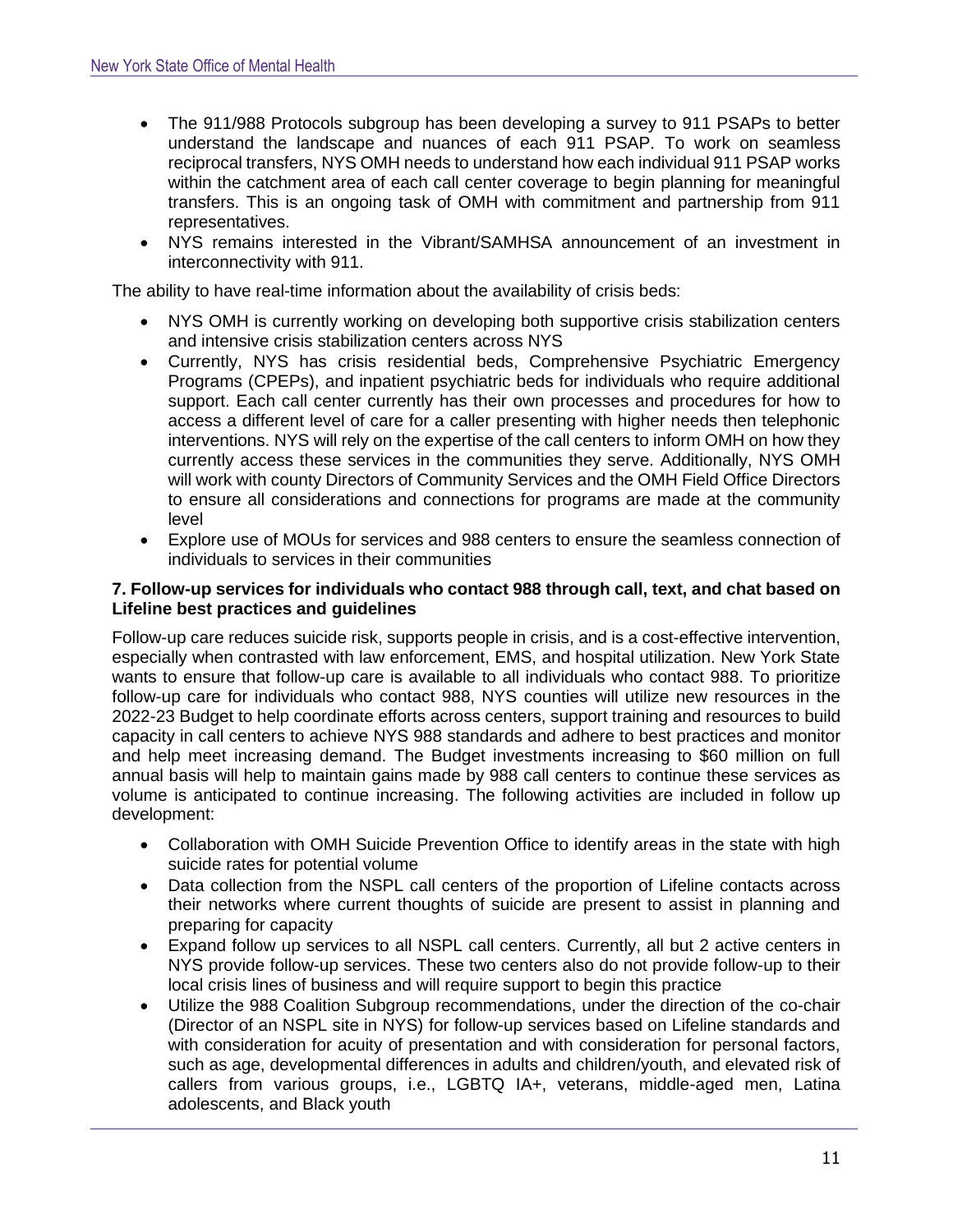- The 911/988 Protocols subgroup has been developing a survey to 911 PSAPs to better understand the landscape and nuances of each 911 PSAP. To work on seamless reciprocal transfers, NYS OMH needs to understand how each individual 911 PSAP works within the catchment area of each call center coverage to begin planning for meaningful transfers. This is an ongoing task of OMH with commitment and partnership from 911 representatives.
- NYS remains interested in the Vibrant/SAMHSA announcement of an investment in interconnectivity with 911.

The ability to have real-time information about the availability of crisis beds:

- NYS OMH is currently working on developing both supportive crisis stabilization centers and intensive crisis stabilization centers across NYS
- Currently, NYS has crisis residential beds, Comprehensive Psychiatric Emergency Programs (CPEPs), and inpatient psychiatric beds for individuals who require additional support. Each call center currently has their own processes and procedures for how to access a different level of care for a caller presenting with higher needs then telephonic interventions. NYS will rely on the expertise of the call centers to inform OMH on how they currently access these services in the communities they serve. Additionally, NYS OMH will work with county Directors of Community Services and the OMH Field Office Directors to ensure all considerations and connections for programs are made at the community level
- Explore use of MOUs for services and 988 centers to ensure the seamless connection of individuals to services in their communities

## **7. Follow-up services for individuals who contact 988 through call, text, and chat based on Lifeline best practices and guidelines**

Follow-up care reduces suicide risk, supports people in crisis, and is a cost-effective intervention, especially when contrasted with law enforcement, EMS, and hospital utilization. New York State wants to ensure that follow-up care is available to all individuals who contact 988. To prioritize follow-up care for individuals who contact 988, NYS counties will utilize new resources in the 2022-23 Budget to help coordinate efforts across centers, support training and resources to build capacity in call centers to achieve NYS 988 standards and adhere to best practices and monitor and help meet increasing demand. The Budget investments increasing to \$60 million on full annual basis will help to maintain gains made by 988 call centers to continue these services as volume is anticipated to continue increasing. The following activities are included in follow up development:

- Collaboration with OMH Suicide Prevention Office to identify areas in the state with high suicide rates for potential volume
- Data collection from the NSPL call centers of the proportion of Lifeline contacts across their networks where current thoughts of suicide are present to assist in planning and preparing for capacity
- Expand follow up services to all NSPL call centers. Currently, all but 2 active centers in NYS provide follow-up services. These two centers also do not provide follow-up to their local crisis lines of business and will require support to begin this practice
- Utilize the 988 Coalition Subgroup recommendations, under the direction of the co-chair (Director of an NSPL site in NYS) for follow-up services based on Lifeline standards and with consideration for acuity of presentation and with consideration for personal factors, such as age, developmental differences in adults and children/youth, and elevated risk of callers from various groups, i.e., LGBTQ IA+, veterans, middle-aged men, Latina adolescents, and Black youth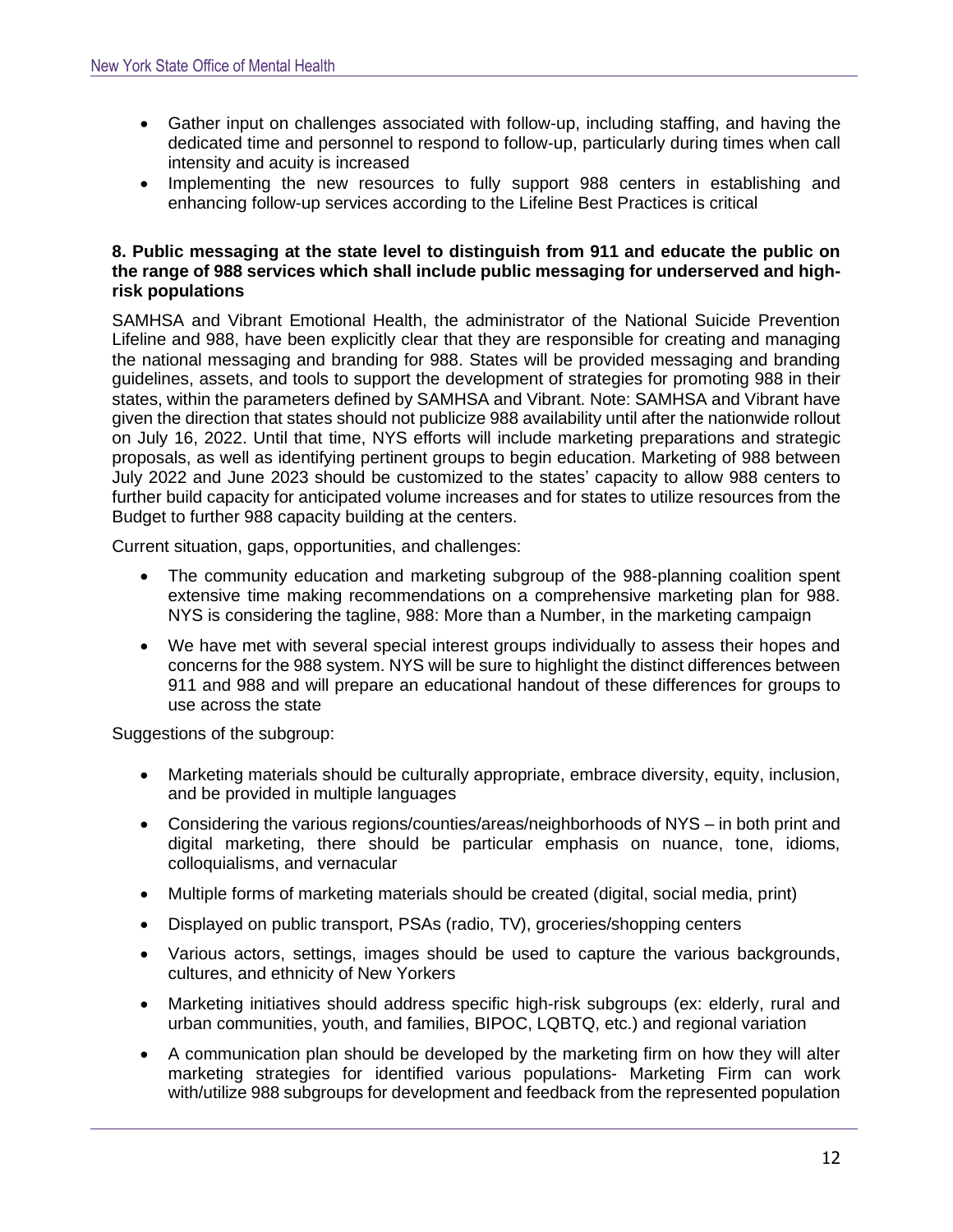- Gather input on challenges associated with follow-up, including staffing, and having the dedicated time and personnel to respond to follow-up, particularly during times when call intensity and acuity is increased
- Implementing the new resources to fully support 988 centers in establishing and enhancing follow-up services according to the Lifeline Best Practices is critical

# **8. Public messaging at the state level to distinguish from 911 and educate the public on the range of 988 services which shall include public messaging for underserved and highrisk populations**

SAMHSA and Vibrant Emotional Health, the administrator of the National Suicide Prevention Lifeline and 988, have been explicitly clear that they are responsible for creating and managing the national messaging and branding for 988. States will be provided messaging and branding guidelines, assets, and tools to support the development of strategies for promoting 988 in their states, within the parameters defined by SAMHSA and Vibrant. Note: SAMHSA and Vibrant have given the direction that states should not publicize 988 availability until after the nationwide rollout on July 16, 2022. Until that time, NYS efforts will include marketing preparations and strategic proposals, as well as identifying pertinent groups to begin education. Marketing of 988 between July 2022 and June 2023 should be customized to the states' capacity to allow 988 centers to further build capacity for anticipated volume increases and for states to utilize resources from the Budget to further 988 capacity building at the centers.

Current situation, gaps, opportunities, and challenges:

- The community education and marketing subgroup of the 988-planning coalition spent extensive time making recommendations on a comprehensive marketing plan for 988. NYS is considering the tagline, 988: More than a Number, in the marketing campaign
- We have met with several special interest groups individually to assess their hopes and concerns for the 988 system. NYS will be sure to highlight the distinct differences between 911 and 988 and will prepare an educational handout of these differences for groups to use across the state

Suggestions of the subgroup:

- Marketing materials should be culturally appropriate, embrace diversity, equity, inclusion, and be provided in multiple languages
- Considering the various regions/counties/areas/neighborhoods of NYS in both print and digital marketing, there should be particular emphasis on nuance, tone, idioms, colloquialisms, and vernacular
- Multiple forms of marketing materials should be created (digital, social media, print)
- Displayed on public transport, PSAs (radio, TV), groceries/shopping centers
- Various actors, settings, images should be used to capture the various backgrounds, cultures, and ethnicity of New Yorkers
- Marketing initiatives should address specific high-risk subgroups (ex: elderly, rural and urban communities, youth, and families, BIPOC, LQBTQ, etc.) and regional variation
- A communication plan should be developed by the marketing firm on how they will alter marketing strategies for identified various populations- Marketing Firm can work with/utilize 988 subgroups for development and feedback from the represented population